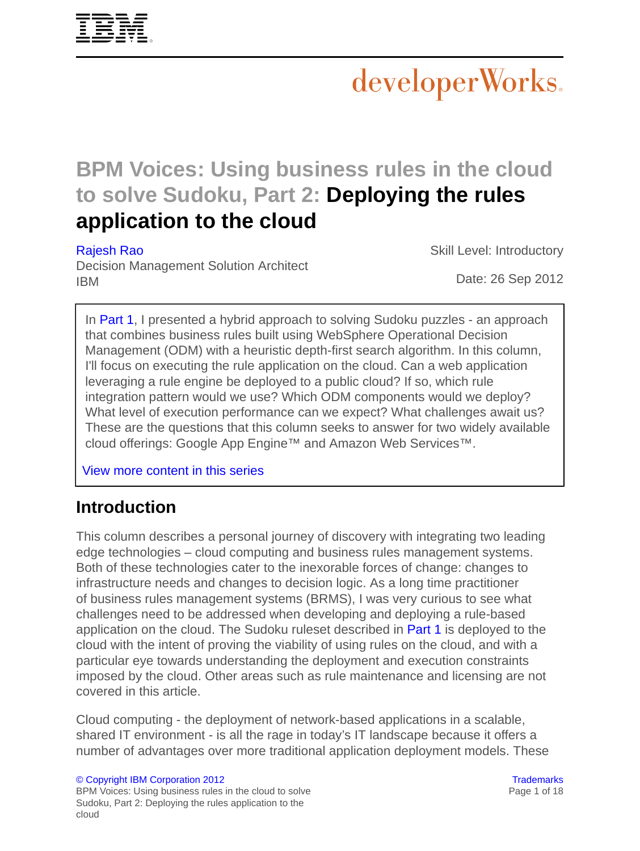

# developerWorks.

# **BPM Voices: Using business rules in the cloud to solve Sudoku, Part 2: Deploying the rules application to the cloud**

#### [Rajesh Rao](#page-17-0)

Skill Level: Introductory

Decision Management Solution Architect IBM

Date: 26 Sep 2012

In [Part 1,](http://www.ibm.com/developerworks/bpm/bpmjournal/1206_col_rao/1206_col_rao.html) I presented a hybrid approach to solving Sudoku puzzles - an approach that combines business rules built using WebSphere Operational Decision Management (ODM) with a heuristic depth-first search algorithm. In this column, I'll focus on executing the rule application on the cloud. Can a web application leveraging a rule engine be deployed to a public cloud? If so, which rule integration pattern would we use? Which ODM components would we deploy? What level of execution performance can we expect? What challenges await us? These are the questions that this column seeks to answer for two widely available cloud offerings: Google App Engine™ and Amazon Web Services™.

[View more content in this series](http://www.ibm.com/developerworks/views/bpm/libraryview.jsp?search_by=Rules+in+the+cloud+solving+Sudoku)

## **Introduction**

This column describes a personal journey of discovery with integrating two leading edge technologies – cloud computing and business rules management systems. Both of these technologies cater to the inexorable forces of change: changes to infrastructure needs and changes to decision logic. As a long time practitioner of business rules management systems (BRMS), I was very curious to see what challenges need to be addressed when developing and deploying a rule-based application on the cloud. The Sudoku ruleset described in [Part 1](http://www.ibm.com/developerworks/bpm/bpmjournal/1206_col_rao/1206_col_rao.html) is deployed to the cloud with the intent of proving the viability of using rules on the cloud, and with a particular eye towards understanding the deployment and execution constraints imposed by the cloud. Other areas such as rule maintenance and licensing are not covered in this article.

Cloud computing - the deployment of network-based applications in a scalable, shared IT environment - is all the rage in today's IT landscape because it offers a number of advantages over more traditional application deployment models. These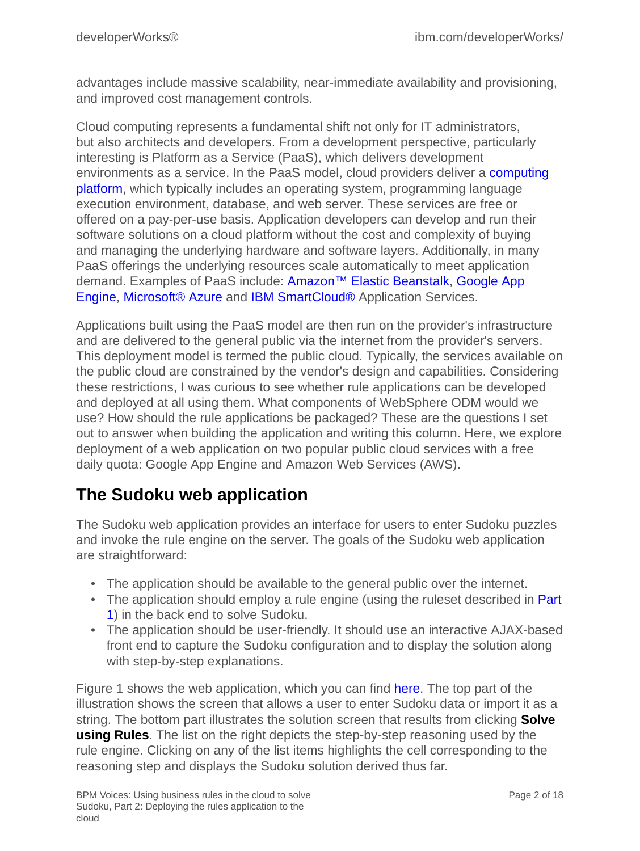advantages include massive scalability, near-immediate availability and provisioning, and improved cost management controls.

Cloud computing represents a fundamental shift not only for IT administrators, but also architects and developers. From a development perspective, particularly interesting is Platform as a Service (PaaS), which delivers development environments as a service. In the PaaS model, cloud providers deliver a [computing](http://en.wikipedia.org/wiki/Computing_platform) [platform](http://en.wikipedia.org/wiki/Computing_platform), which typically includes an operating system, programming language execution environment, database, and web server. These services are free or offered on a pay-per-use basis. Application developers can develop and run their software solutions on a cloud platform without the cost and complexity of buying and managing the underlying hardware and software layers. Additionally, in many PaaS offerings the underlying resources scale automatically to meet application demand. Examples of PaaS include: [Amazon™ Elastic Beanstalk](http://en.wikipedia.org/wiki/Amazon_Web_Services), [Google App](http://en.wikipedia.org/wiki/Google_App_Engine) [Engine](http://en.wikipedia.org/wiki/Google_App_Engine), [Microsoft® Azure](http://en.wikipedia.org/wiki/Azure_Services_Platform) and [IBM SmartCloud®](http://www.ibm.com/cloud-computing/us/en/) Application Services.

Applications built using the PaaS model are then run on the provider's infrastructure and are delivered to the general public via the internet from the provider's servers. This deployment model is termed the public cloud. Typically, the services available on the public cloud are constrained by the vendor's design and capabilities. Considering these restrictions, I was curious to see whether rule applications can be developed and deployed at all using them. What components of WebSphere ODM would we use? How should the rule applications be packaged? These are the questions I set out to answer when building the application and writing this column. Here, we explore deployment of a web application on two popular public cloud services with a free daily quota: Google App Engine and Amazon Web Services (AWS).

# **The Sudoku web application**

The Sudoku web application provides an interface for users to enter Sudoku puzzles and invoke the rule engine on the server. The goals of the Sudoku web application are straightforward:

- The application should be available to the general public over the internet.
- The application should employ a rule engine (using the ruleset described in [Part](http://www.ibm.com/developerworks/bpm/bpmjournal/1206_col_rao/1206_col_rao.html) [1\)](http://www.ibm.com/developerworks/bpm/bpmjournal/1206_col_rao/1206_col_rao.html) in the back end to solve Sudoku.
- The application should be user-friendly. It should use an interactive AJAX-based front end to capture the Sudoku configuration and to display the solution along with step-by-step explanations.

Figure 1 shows the web application, which you can find [here.](http://sudoku-web-env-hnyeth7e8i.elasticbeanstalk.com/) The top part of the illustration shows the screen that allows a user to enter Sudoku data or import it as a string. The bottom part illustrates the solution screen that results from clicking **Solve using Rules**. The list on the right depicts the step-by-step reasoning used by the rule engine. Clicking on any of the list items highlights the cell corresponding to the reasoning step and displays the Sudoku solution derived thus far.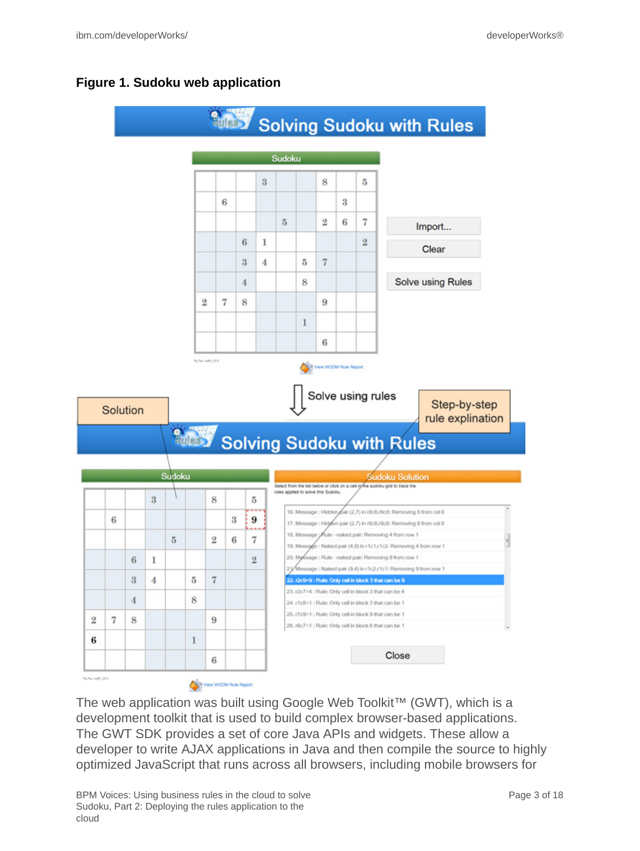#### **Figure 1. Sudoku web application**



The web application was built using Google Web Toolkit™ (GWT), which is a development toolkit that is used to build complex browser-based applications. The GWT SDK provides a set of core Java APIs and widgets. These allow a developer to write AJAX applications in Java and then compile the source to highly optimized JavaScript that runs across all browsers, including mobile browsers for

BPM Voices: Using business rules in the cloud to solve Sudoku, Part 2: Deploying the rules application to the cloud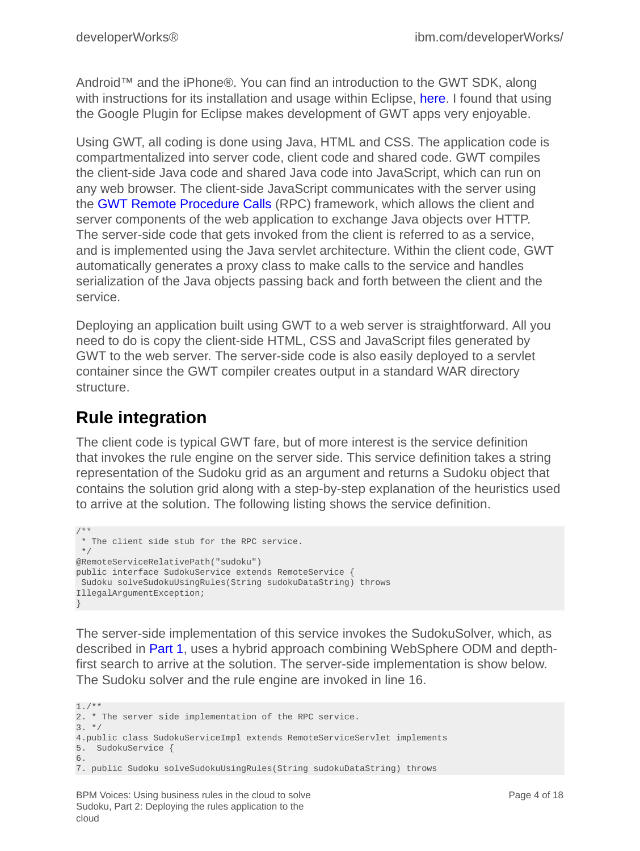Android™ and the iPhone®. You can find an introduction to the GWT SDK, along with instructions for its installation and usage within Eclipse, [here.](https://developers.google.com/web-toolkit/gettingstarted) I found that using the Google Plugin for Eclipse makes development of GWT apps very enjoyable.

Using GWT, all coding is done using Java, HTML and CSS. The application code is compartmentalized into server code, client code and shared code. GWT compiles the client-side Java code and shared Java code into JavaScript, which can run on any web browser. The client-side JavaScript communicates with the server using the [GWT Remote Procedure Calls](https://developers.google.com/web-toolkit/doc/latest/tutorial/RPC) (RPC) framework, which allows the client and server components of the web application to exchange Java objects over HTTP. The server-side code that gets invoked from the client is referred to as a service, and is implemented using the Java servlet architecture. Within the client code, GWT automatically generates a proxy class to make calls to the service and handles serialization of the Java objects passing back and forth between the client and the service.

Deploying an application built using GWT to a web server is straightforward. All you need to do is copy the client-side HTML, CSS and JavaScript files generated by GWT to the web server. The server-side code is also easily deployed to a servlet container since the GWT compiler creates output in a standard WAR directory structure.

# **Rule integration**

The client code is typical GWT fare, but of more interest is the service definition that invokes the rule engine on the server side. This service definition takes a string representation of the Sudoku grid as an argument and returns a Sudoku object that contains the solution grid along with a step-by-step explanation of the heuristics used to arrive at the solution. The following listing shows the service definition.

```
/**
 * The client side stub for the RPC service.
 */
@RemoteServiceRelativePath("sudoku")
public interface SudokuService extends RemoteService {
 Sudoku solveSudokuUsingRules(String sudokuDataString) throws
IllegalArgumentException;
}
```
The server-side implementation of this service invokes the SudokuSolver, which, as described in [Part 1,](http://www.ibm.com/developerworks/bpm/bpmjournal/1206_col_rao/1206_col_rao.html) uses a hybrid approach combining WebSphere ODM and depthfirst search to arrive at the solution. The server-side implementation is show below. The Sudoku solver and the rule engine are invoked in line 16.

```
1./**
2. * The server side implementation of the RPC service.
3. */4.public class SudokuServiceImpl extends RemoteServiceServlet implements
5. SudokuService {
6.
7. public Sudoku solveSudokuUsingRules(String sudokuDataString) throws
```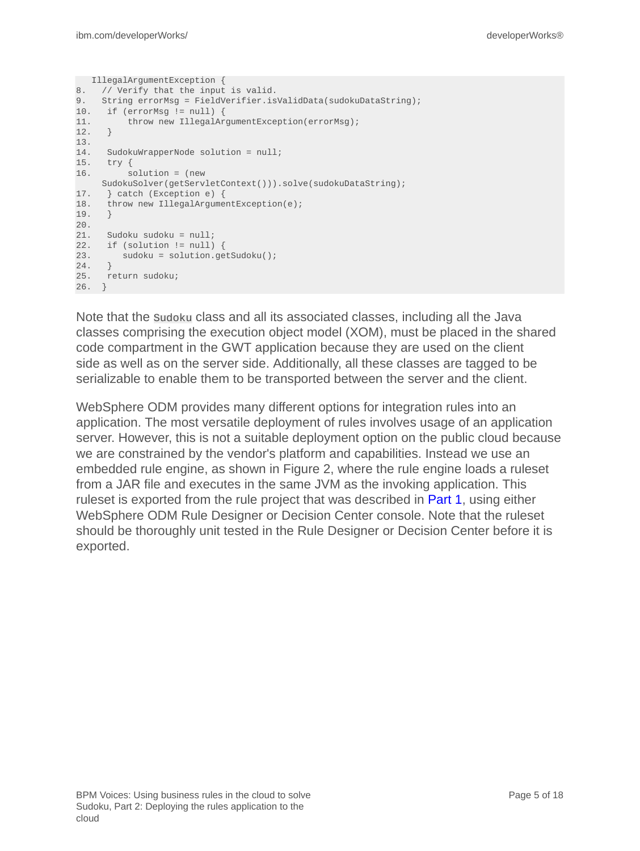```
 IllegalArgumentException {
8. // Verify that the input is valid.
9. String errorMsg = FieldVerifier.isValidData(sudokuDataString);
10. if (errorMsg != null) {
11. throw new IllegalArgumentException(errorMsg);
12. }
13.
14. SudokuWrapperNode solution = null;
15. try {
16. solution = (new
    SudokuSolver(getServletContext())).solve(sudokuDataString);
17. } catch (Exception e) {
18. throw new IllegalArgumentException(e);
19. }
20.
21. Sudoku sudoku = null;
22. if (solution != null) {<br>23. sudoku = solution.ge
      sudoku = solution.getSudoku();
24.25. return sudoku;
26. }
```
Note that the Sudoku class and all its associated classes, including all the Java classes comprising the execution object model (XOM), must be placed in the shared code compartment in the GWT application because they are used on the client side as well as on the server side. Additionally, all these classes are tagged to be serializable to enable them to be transported between the server and the client.

WebSphere ODM provides many different options for integration rules into an application. The most versatile deployment of rules involves usage of an application server. However, this is not a suitable deployment option on the public cloud because we are constrained by the vendor's platform and capabilities. Instead we use an embedded rule engine, as shown in Figure 2, where the rule engine loads a ruleset from a JAR file and executes in the same JVM as the invoking application. This ruleset is exported from the rule project that was described in [Part 1](http://www.ibm.com/developerworks/bpm/bpmjournal/1206_col_rao/1206_col_rao.html), using either WebSphere ODM Rule Designer or Decision Center console. Note that the ruleset should be thoroughly unit tested in the Rule Designer or Decision Center before it is exported.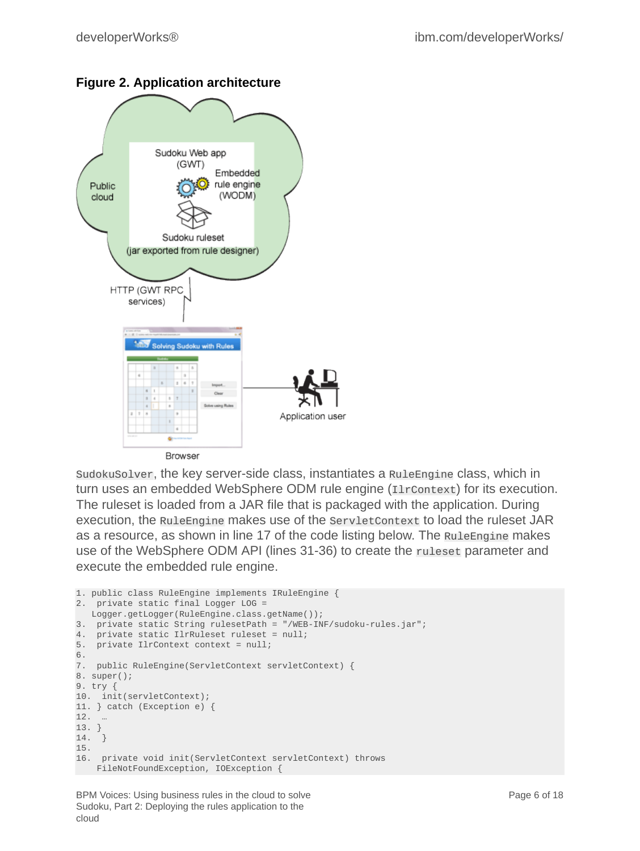

#### **Figure 2. Application architecture**

SudokuSolver, the key server-side class, instantiates a RuleEngine class, which in turn uses an embedded WebSphere ODM rule engine (IlrContext) for its execution. The ruleset is loaded from a JAR file that is packaged with the application. During execution, the RuleEngine makes use of the ServletContext to load the ruleset JAR as a resource, as shown in line 17 of the code listing below. The RuleEngine makes use of the WebSphere ODM API (lines 31-36) to create the ruleset parameter and execute the embedded rule engine.

```
1. public class RuleEngine implements IRuleEngine {
2. private static final Logger LOG =
   Logger.getLogger(RuleEngine.class.getName());
3. private static String rulesetPath = "/WEB-INF/sudoku-rules.jar";
4. private static IlrRuleset ruleset = null;
5. private IlrContext context = null;
6.
7. public RuleEngine(ServletContext servletContext) {
8. super();
9. try {
10. init(servletContext);
11. } catch (Exception e) {
12. …
13. }
14. }
15.
16. private void init(ServletContext servletContext) throws
    FileNotFoundException, IOException {
```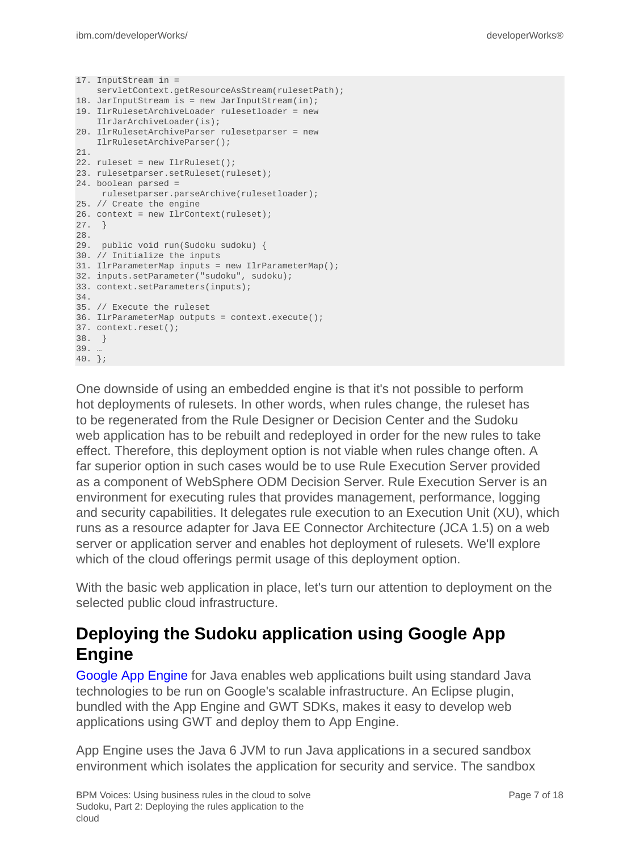```
17. InputStream in =
     servletContext.getResourceAsStream(rulesetPath);
18. JarInputStream is = new JarInputStream(in);
19. IlrRulesetArchiveLoader rulesetloader = new
    IlrJarArchiveLoader(is);
20. IlrRulesetArchiveParser rulesetparser = new
     IlrRulesetArchiveParser();
21.
22. ruleset = new IlrRuleset();
23. rulesetparser.setRuleset(ruleset);
24. boolean parsed =
     rulesetparser.parseArchive(rulesetloader);
25. // Create the engine
26. context = new IlrContext(ruleset);
27. }
28.
29. public void run(Sudoku sudoku) {
30. // Initialize the inputs
31. IlrParameterMap inputs = new IlrParameterMap();
32. inputs.setParameter("sudoku", sudoku);
33. context.setParameters(inputs);
34.
35. // Execute the ruleset
36. IlrParameterMap outputs = context.execute();
37. context.reset();
38. }
39. …
40. };
```
One downside of using an embedded engine is that it's not possible to perform hot deployments of rulesets. In other words, when rules change, the ruleset has to be regenerated from the Rule Designer or Decision Center and the Sudoku web application has to be rebuilt and redeployed in order for the new rules to take effect. Therefore, this deployment option is not viable when rules change often. A far superior option in such cases would be to use Rule Execution Server provided as a component of WebSphere ODM Decision Server. Rule Execution Server is an environment for executing rules that provides management, performance, logging and security capabilities. It delegates rule execution to an Execution Unit (XU), which runs as a resource adapter for Java EE Connector Architecture (JCA 1.5) on a web server or application server and enables hot deployment of rulesets. We'll explore which of the cloud offerings permit usage of this deployment option.

With the basic web application in place, let's turn our attention to deployment on the selected public cloud infrastructure.

## **Deploying the Sudoku application using Google App Engine**

[Google App Engine](https://developers.google.com/appengine/docs/java/overview) for Java enables web applications built using standard Java technologies to be run on Google's scalable infrastructure. An Eclipse plugin, bundled with the App Engine and GWT SDKs, makes it easy to develop web applications using GWT and deploy them to App Engine.

App Engine uses the Java 6 JVM to run Java applications in a secured sandbox environment which isolates the application for security and service. The sandbox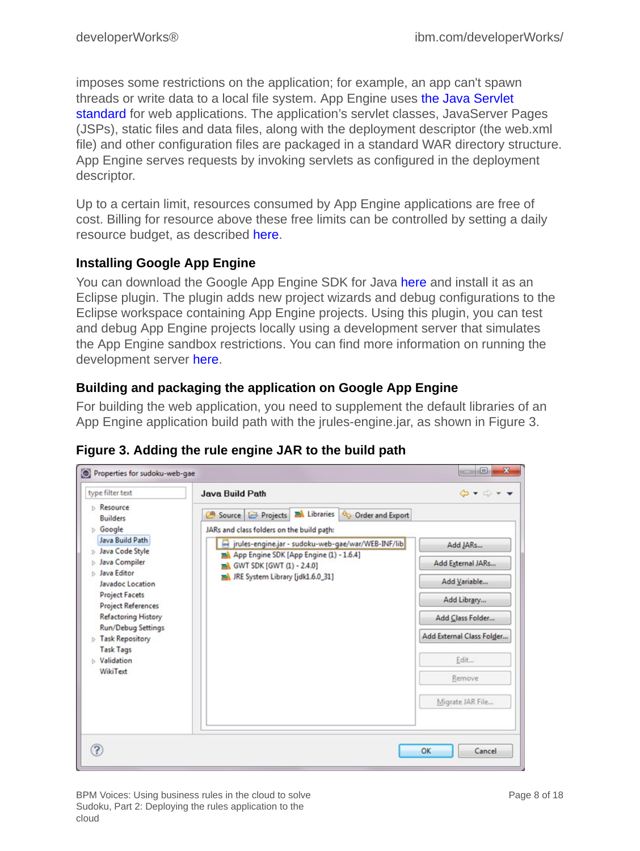imposes some restrictions on the application; for example, an app can't spawn threads or write data to a local file system. App Engine uses [the Java Servlet](http://java.sun.com/products/servlet/) [standard](http://java.sun.com/products/servlet/) for web applications. The application's servlet classes, JavaServer Pages (JSPs), static files and data files, along with the deployment descriptor (the web.xml file) and other configuration files are packaged in a standard WAR directory structure. App Engine serves requests by invoking servlets as configured in the deployment descriptor.

Up to a certain limit, resources consumed by App Engine applications are free of cost. Billing for resource above these free limits can be controlled by setting a daily resource budget, as described [here.](https://developers.google.com/appengine/docs/billing)

#### **Installing Google App Engine**

You can download the Google App Engine SDK for Java [here](https://developers.google.com/appengine/downloads) and install it as an Eclipse plugin. The plugin adds new project wizards and debug configurations to the Eclipse workspace containing App Engine projects. Using this plugin, you can test and debug App Engine projects locally using a development server that simulates the App Engine sandbox restrictions. You can find more information on running the development server [here.](https://developers.google.com/appengine/docs/java/tools/devserver)

#### **Building and packaging the application on Google App Engine**

For building the web application, you need to supplement the default libraries of an App Engine application build path with the jrules-engine.jar, as shown in Figure 3.

| type filter text                                                                                                                                                                                                                                                                                                                                                             | <b>Java Build Path</b>                                                                                                                                                                                                                                                                  | $\mathbf{G} \bullet \mathbf{C} \bullet \mathbf{V}$                                                                                                  |
|------------------------------------------------------------------------------------------------------------------------------------------------------------------------------------------------------------------------------------------------------------------------------------------------------------------------------------------------------------------------------|-----------------------------------------------------------------------------------------------------------------------------------------------------------------------------------------------------------------------------------------------------------------------------------------|-----------------------------------------------------------------------------------------------------------------------------------------------------|
| <b>b</b> Resource<br><b>Builders</b><br><b>Soogle</b><br>Java Build Path<br><b>D</b> Java Code Style<br><b>b</b> Java Compiler<br><b>b</b> Java Editor<br>Javadoc Location<br><b>Project Facets</b><br><b>Project References</b><br><b>Refactoring History</b><br><b>Run/Debug Settings</b><br><b>Fask Repository</b><br><b>Task Tags</b><br><b>b</b> Validation<br>WikiText | Source <b>B</b> Projects <b>B</b> Libraries<br>Order and Export<br>ⅇ<br>JARs and class folders on the build path:<br>ind jrules-engine.jar - sudoku-web-gae/war/WEB-INF/lib<br>App Engine SDK [App Engine (1) - 1.6.4]<br>GWT SDK [GWT (1) - 2.4.0]<br>JRE System Library [jdk1.6.0_31] | Add JARs<br>Add External JARs<br>Add Variable<br>Add Library<br>Add Class Folder<br>Add External Class Folder<br>Edit<br>Remove<br>Migrate JAR File |

#### **Figure 3. Adding the rule engine JAR to the build path**

BPM Voices: Using business rules in the cloud to solve Sudoku, Part 2: Deploying the rules application to the cloud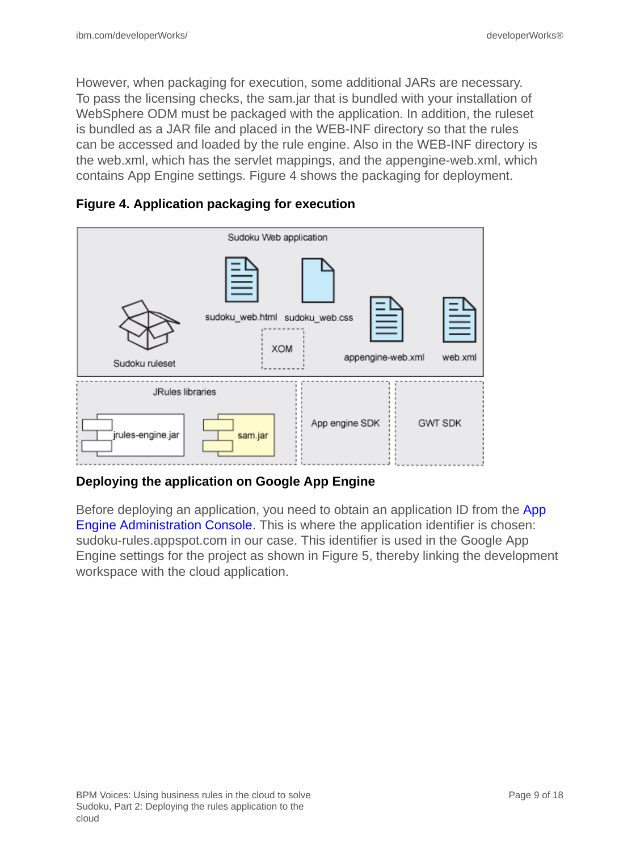However, when packaging for execution, some additional JARs are necessary. To pass the licensing checks, the sam.jar that is bundled with your installation of WebSphere ODM must be packaged with the application. In addition, the ruleset is bundled as a JAR file and placed in the WEB-INF directory so that the rules can be accessed and loaded by the rule engine. Also in the WEB-INF directory is the web.xml, which has the servlet mappings, and the appengine-web.xml, which contains App Engine settings. Figure 4 shows the packaging for deployment.



#### **Figure 4. Application packaging for execution**

#### **Deploying the application on Google App Engine**

Before deploying an application, you need to obtain an application ID from the [App](https://appengine.google.com/) [Engine Administration Console.](https://appengine.google.com/) This is where the application identifier is chosen: sudoku-rules.appspot.com in our case. This identifier is used in the Google App Engine settings for the project as shown in Figure 5, thereby linking the development workspace with the cloud application.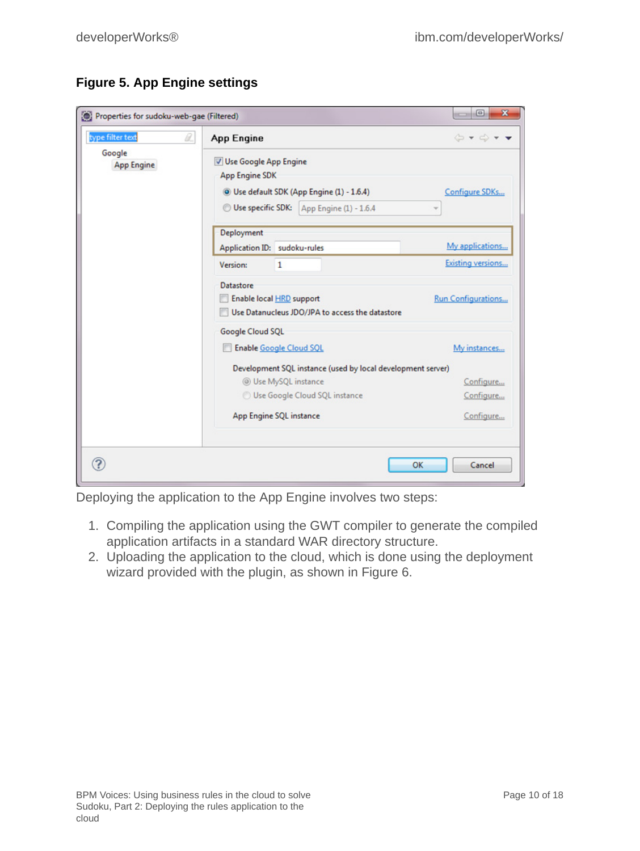|  | <b>Figure 5. App Engine settings</b> |
|--|--------------------------------------|
|--|--------------------------------------|

| : Properties for sudoku-web-gae (Filtered) |                                                                                                                                                         | $\begin{array}{c c c c c} \hline \multicolumn{3}{c }{\mathbf{0}} & \multicolumn{3}{c }{\mathbf{x}} \\\hline \multicolumn{3}{c }{\mathbf{0}} & \multicolumn{3}{c }{\mathbf{x}} \\\hline \multicolumn{3}{c }{\mathbf{0}} & \multicolumn{3}{c }{\mathbf{x}} \\\hline \multicolumn{3}{c }{\mathbf{0}} & \multicolumn{3}{c }{\mathbf{x}} \\\hline \multicolumn{3}{c }{\mathbf{0}} & \multicolumn{3}{c }{\mathbf{x}} \\\hline \multicolumn{3}{c }{\mathbf{0}} & \multicolumn{$ |
|--------------------------------------------|---------------------------------------------------------------------------------------------------------------------------------------------------------|--------------------------------------------------------------------------------------------------------------------------------------------------------------------------------------------------------------------------------------------------------------------------------------------------------------------------------------------------------------------------------------------------------------------------------------------------------------------------|
| type filter text<br>a.                     | App Engine                                                                                                                                              | $\Leftrightarrow \mathbf{v} \Leftrightarrow \mathbf{v} \bullet \mathbf{v}$                                                                                                                                                                                                                                                                                                                                                                                               |
| Google<br><b>App Engine</b>                | V Use Google App Engine<br><b>App Engine SDK</b><br><sup>(a)</sup> Use default SDK (App Engine (1) - 1.6.4)<br>Use specific SDK: App Engine (1) - 1.6.4 | Configure SDKs                                                                                                                                                                                                                                                                                                                                                                                                                                                           |
|                                            | Deployment                                                                                                                                              |                                                                                                                                                                                                                                                                                                                                                                                                                                                                          |
|                                            | Application ID: sudoku-rules                                                                                                                            | My applications                                                                                                                                                                                                                                                                                                                                                                                                                                                          |
|                                            | <b>Version:</b><br>$\mathbf{1}$                                                                                                                         | Existing versions                                                                                                                                                                                                                                                                                                                                                                                                                                                        |
|                                            | <b>Datastore</b><br>Enable local HRD support<br>Use Datanucleus JDO/JPA to access the datastore                                                         | <b>Run Configurations</b>                                                                                                                                                                                                                                                                                                                                                                                                                                                |
|                                            | Google Cloud SQL                                                                                                                                        |                                                                                                                                                                                                                                                                                                                                                                                                                                                                          |
|                                            | <b>Enable Google Cloud SQL</b>                                                                                                                          | My instances                                                                                                                                                                                                                                                                                                                                                                                                                                                             |
|                                            | Development SQL instance (used by local development server)                                                                                             |                                                                                                                                                                                                                                                                                                                                                                                                                                                                          |
|                                            | @ Use MySQL instance                                                                                                                                    | Configure                                                                                                                                                                                                                                                                                                                                                                                                                                                                |
|                                            | Use Google Cloud SQL instance                                                                                                                           | Configure                                                                                                                                                                                                                                                                                                                                                                                                                                                                |
|                                            | App Engine SQL instance                                                                                                                                 | Configure                                                                                                                                                                                                                                                                                                                                                                                                                                                                |
| ?                                          |                                                                                                                                                         | Cancel<br><b>OK</b>                                                                                                                                                                                                                                                                                                                                                                                                                                                      |

Deploying the application to the App Engine involves two steps:

- 1. Compiling the application using the GWT compiler to generate the compiled application artifacts in a standard WAR directory structure.
- 2. Uploading the application to the cloud, which is done using the deployment wizard provided with the plugin, as shown in Figure 6.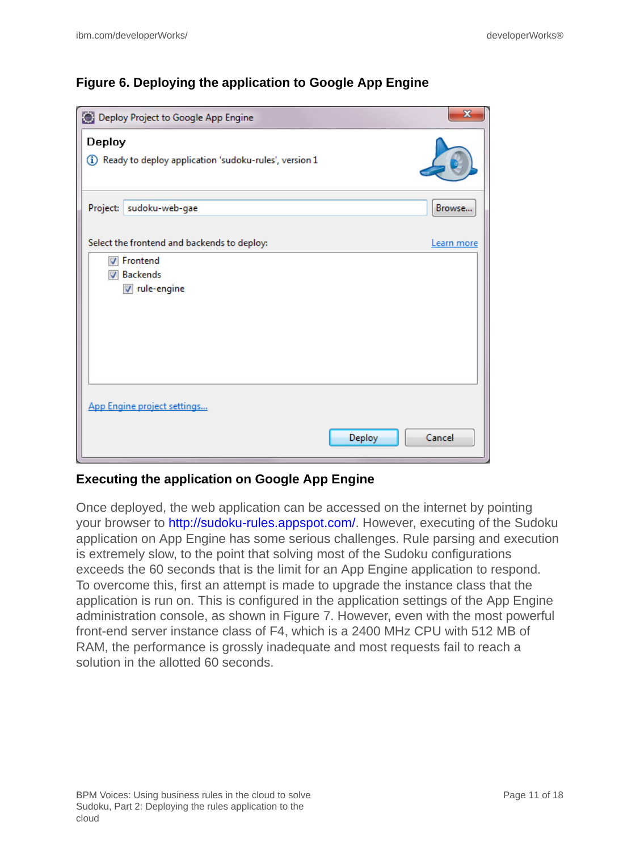#### **Figure 6. Deploying the application to Google App Engine**

| Deploy Project to Google App Engine                                                                                             | $\mathbf{x}$ |
|---------------------------------------------------------------------------------------------------------------------------------|--------------|
| Deploy<br>(i) Ready to deploy application 'sudoku-rules', version 1                                                             |              |
| Project: sudoku-web-gae                                                                                                         | Browse       |
| Select the frontend and backends to deploy:<br><b>V</b> Frontend<br><b>Backends</b><br>$\boldsymbol{J}$<br><b>√</b> rule-engine | Learn more   |
| App Engine project settings<br>Deploy                                                                                           | Cancel       |

#### **Executing the application on Google App Engine**

Once deployed, the web application can be accessed on the internet by pointing your browser to [http://sudoku-rules.appspot.com/.](http://sudoku-rules.appspot.com/) However, executing of the Sudoku application on App Engine has some serious challenges. Rule parsing and execution is extremely slow, to the point that solving most of the Sudoku configurations exceeds the 60 seconds that is the limit for an App Engine application to respond. To overcome this, first an attempt is made to upgrade the instance class that the application is run on. This is configured in the application settings of the App Engine administration console, as shown in Figure 7. However, even with the most powerful front-end server instance class of F4, which is a 2400 MHz CPU with 512 MB of RAM, the performance is grossly inadequate and most requests fail to reach a solution in the allotted 60 seconds.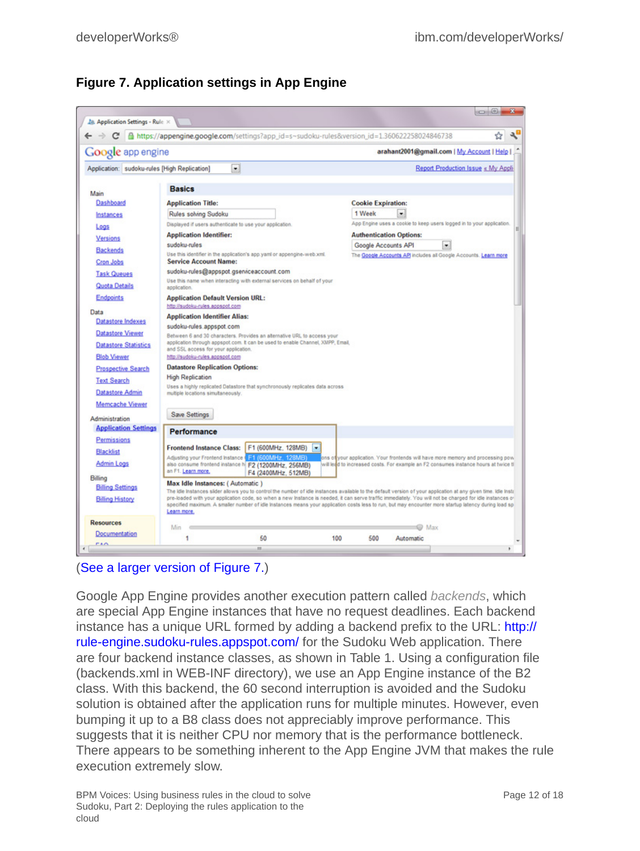

#### **Figure 7. Application settings in App Engine**

#### ([See a larger version of Figure 7.](1209_rao-sidefile1.html))

Google App Engine provides another execution pattern called *backends*, which are special App Engine instances that have no request deadlines. Each backend instance has a unique URL formed by adding a backend prefix to the URL: [http://](http://rule-engine.sudoku-rules.appspot.com/) [rule-engine.sudoku-rules.appspot.com/](http://rule-engine.sudoku-rules.appspot.com/) for the Sudoku Web application. There are four backend instance classes, as shown in Table 1. Using a configuration file (backends.xml in WEB-INF directory), we use an App Engine instance of the B2 class. With this backend, the 60 second interruption is avoided and the Sudoku solution is obtained after the application runs for multiple minutes. However, even bumping it up to a B8 class does not appreciably improve performance. This suggests that it is neither CPU nor memory that is the performance bottleneck. There appears to be something inherent to the App Engine JVM that makes the rule execution extremely slow.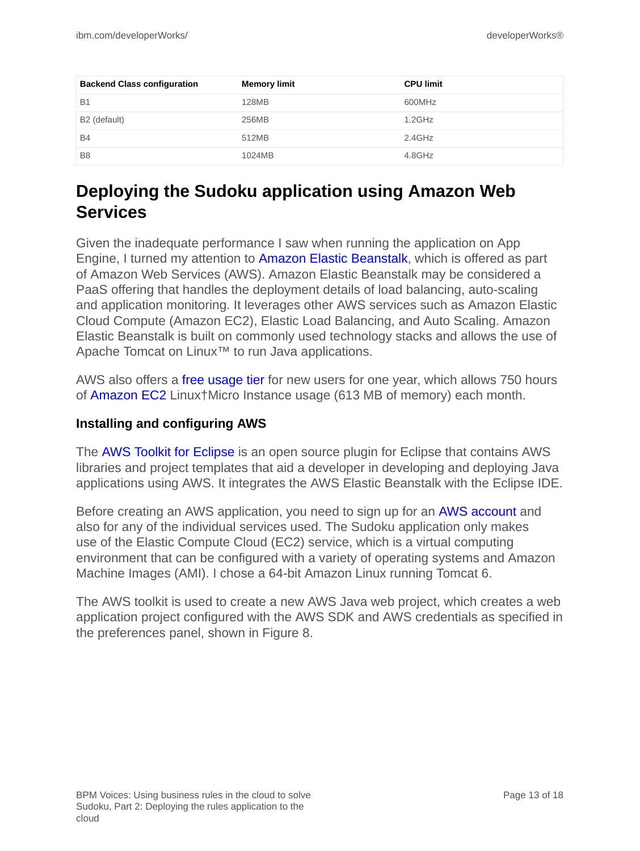| <b>Backend Class configuration</b> | <b>Memory limit</b> | <b>CPU limit</b> |
|------------------------------------|---------------------|------------------|
| <b>B1</b>                          | 128MB               | 600MHz           |
| B <sub>2</sub> (default)           | 256MB               | $1.2$ GHz        |
| <b>B4</b>                          | 512MB               | $2.4$ GHz        |
| B <sub>8</sub>                     | 1024MB              | 4.8GHz           |

# **Deploying the Sudoku application using Amazon Web Services**

Given the inadequate performance I saw when running the application on App Engine, I turned my attention to [Amazon Elastic Beanstalk](http://aws.amazon.com/elasticbeanstalk/), which is offered as part of Amazon Web Services (AWS). Amazon Elastic Beanstalk may be considered a PaaS offering that handles the deployment details of load balancing, auto-scaling and application monitoring. It leverages other AWS services such as Amazon Elastic Cloud Compute (Amazon EC2), Elastic Load Balancing, and Auto Scaling. Amazon Elastic Beanstalk is built on commonly used technology stacks and allows the use of Apache Tomcat on Linux™ to run Java applications.

AWS also offers a [free usage tier](http://docs.amazonwebservices.com/gettingstarted/latest/awsgsg-freetier/TestDriveFreeTier.html) for new users for one year, which allows 750 hours of [Amazon EC2](http://aws.amazon.com/ec2) Linux†Micro Instance usage (613 MB of memory) each month.

#### **Installing and configuring AWS**

The [AWS Toolkit for Eclipse](http://aws.amazon.com/eclipse/) is an open source plugin for Eclipse that contains AWS libraries and project templates that aid a developer in developing and deploying Java applications using AWS. It integrates the AWS Elastic Beanstalk with the Eclipse IDE.

Before creating an AWS application, you need to sign up for an [AWS account](http://aws.amazon.com/console/) and also for any of the individual services used. The Sudoku application only makes use of the Elastic Compute Cloud (EC2) service, which is a virtual computing environment that can be configured with a variety of operating systems and Amazon Machine Images (AMI). I chose a 64-bit Amazon Linux running Tomcat 6.

The AWS toolkit is used to create a new AWS Java web project, which creates a web application project configured with the AWS SDK and AWS credentials as specified in the preferences panel, shown in Figure 8.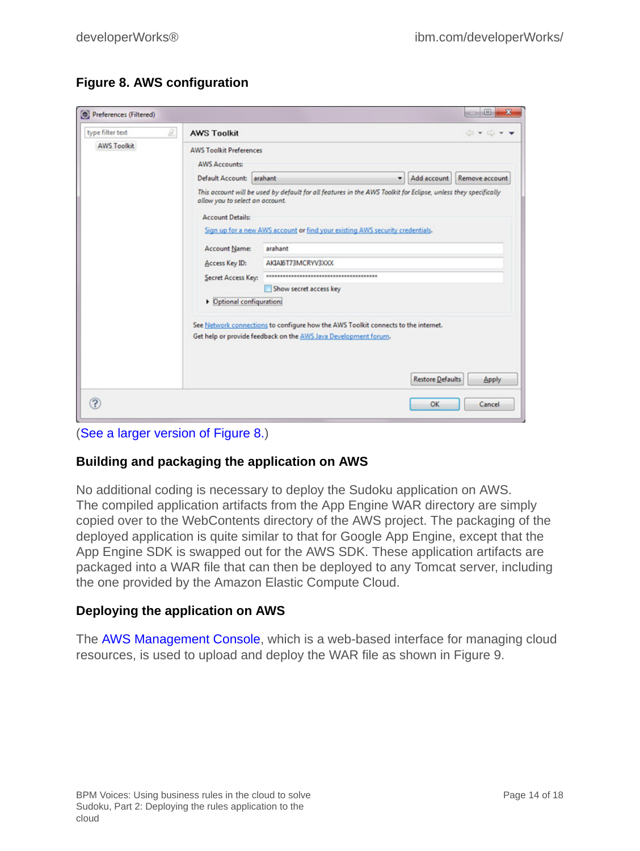#### **Figure 8. AWS configuration**

| <b>AWS Toolkit Preferences</b><br><b>AWS Accounts:</b><br>Default Account: arahant |                                                                                                                |                                                                                                                               |                                                                                                                                                                                                |
|------------------------------------------------------------------------------------|----------------------------------------------------------------------------------------------------------------|-------------------------------------------------------------------------------------------------------------------------------|------------------------------------------------------------------------------------------------------------------------------------------------------------------------------------------------|
|                                                                                    | This account will be used by default for all features in the AWS Toolkit for Eclipse, unless they specifically | Add account                                                                                                                   | Remove account                                                                                                                                                                                 |
| <b>Account Name:</b><br>Access Key ID:                                             | arahant<br>AKIAI6T73MCRYV3XXX                                                                                  |                                                                                                                               |                                                                                                                                                                                                |
| Secret Access Key:                                                                 | **********************************<br>Show secret access key                                                   |                                                                                                                               |                                                                                                                                                                                                |
|                                                                                    |                                                                                                                |                                                                                                                               |                                                                                                                                                                                                |
|                                                                                    |                                                                                                                |                                                                                                                               | Apply                                                                                                                                                                                          |
|                                                                                    | <b>Account Details:</b>                                                                                        | allow you to select an account.<br>Dptional configuration:<br>Get help or provide feedback on the AWS Java Development forum. | Sign up for a new AWS account or find your existing AWS security credentials.<br>See Network connections to configure how the AWS Toolkit connects to the internet.<br><b>Restore Defaults</b> |

#### ([See a larger version of Figure 8.](1209_rao-sidefile2.html))

#### **Building and packaging the application on AWS**

No additional coding is necessary to deploy the Sudoku application on AWS. The compiled application artifacts from the App Engine WAR directory are simply copied over to the WebContents directory of the AWS project. The packaging of the deployed application is quite similar to that for Google App Engine, except that the App Engine SDK is swapped out for the AWS SDK. These application artifacts are packaged into a WAR file that can then be deployed to any Tomcat server, including the one provided by the Amazon Elastic Compute Cloud.

#### **Deploying the application on AWS**

The [AWS Management Console](http://aws.amazon.com/console/), which is a web-based interface for managing cloud resources, is used to upload and deploy the WAR file as shown in Figure 9.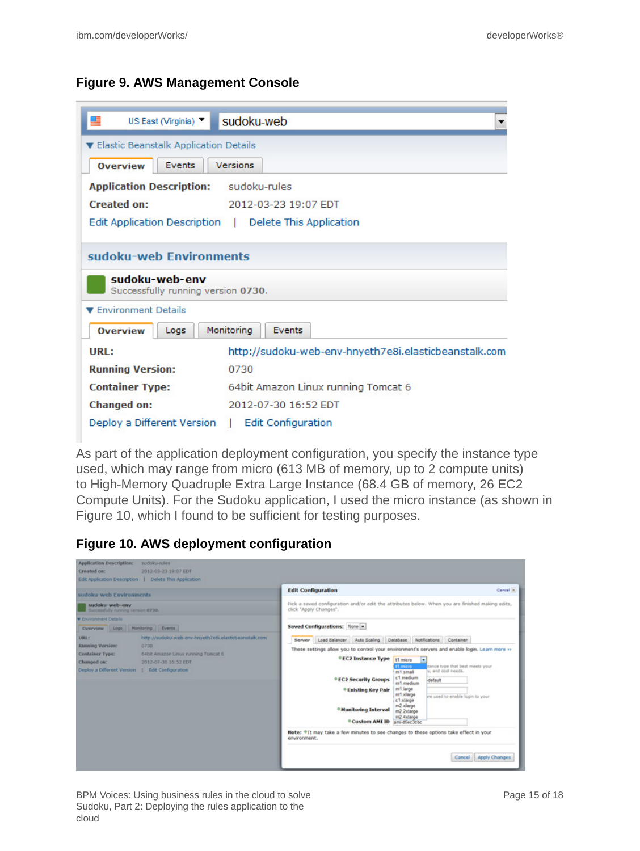#### **Figure 9. AWS Management Console**

| ₽<br>US East (Virginia) ▼                                                                                     | sudoku-web                                             |  |
|---------------------------------------------------------------------------------------------------------------|--------------------------------------------------------|--|
| ▼ Elastic Beanstalk Application Details                                                                       |                                                        |  |
| <b>Overview</b><br><b>Events</b>                                                                              | Versions                                               |  |
| <b>Application Description:</b>                                                                               | sudoku-rules                                           |  |
| <b>Created on:</b>                                                                                            | 2012-03-23 19:07 EDT                                   |  |
|                                                                                                               | Edit Application Description   Delete This Application |  |
| sudoku-web Environments<br>sudoku-web-env<br>Successfully running version 0730.<br><b>Environment Details</b> |                                                        |  |
| <b>Overview</b><br>Logs                                                                                       | Monitoring<br>Events                                   |  |
| URL:                                                                                                          | http://sudoku-web-env-hnyeth7e8i.elasticbeanstalk.com  |  |
| <b>Running Version:</b>                                                                                       | 0730                                                   |  |
| <b>Container Type:</b>                                                                                        | 64bit Amazon Linux running Tomcat 6                    |  |
| <b>Changed on:</b>                                                                                            | 2012-07-30 16:52 EDT                                   |  |
| Deploy a Different Version                                                                                    | $\mathbf{L}$<br><b>Edit Configuration</b>              |  |

As part of the application deployment configuration, you specify the instance type used, which may range from micro (613 MB of memory, up to 2 compute units) to High-Memory Quadruple Extra Large Instance (68.4 GB of memory, 26 EC2 Compute Units). For the Sudoku application, I used the micro instance (as shown in Figure 10, which I found to be sufficient for testing purposes.

**Figure 10. AWS deployment configuration**

| sudoku-web Environments                                                                                                                                                                                                                              | <b>Edit Configuration</b><br>Cancel X                                                                                                                                                                                                                                                                                                                                                                                                                                                                                                                                                                                 |
|------------------------------------------------------------------------------------------------------------------------------------------------------------------------------------------------------------------------------------------------------|-----------------------------------------------------------------------------------------------------------------------------------------------------------------------------------------------------------------------------------------------------------------------------------------------------------------------------------------------------------------------------------------------------------------------------------------------------------------------------------------------------------------------------------------------------------------------------------------------------------------------|
| sudoku-web-env<br>Successfully running version 0730.                                                                                                                                                                                                 | Pick a saved configuration and/or edit the attributes below. When you are finished making edits,<br>click "Apply Changes".                                                                                                                                                                                                                                                                                                                                                                                                                                                                                            |
| <b>W</b> Environment Details<br>Overview Logs Monitoring Events                                                                                                                                                                                      | Saved Configurations: None =                                                                                                                                                                                                                                                                                                                                                                                                                                                                                                                                                                                          |
| http://sudoku-web-env-hnyeth7e8i.elasticbeanstalk.com<br>URLE<br><b>Running Version:</b><br>0730<br>Container Type:<br>64bit Amazon Linux running Tomcat 6<br>Changed on:<br>2012-07-30 16:52 EDT<br>Deploy a Different Version   Edit Configuration | Server Load Balancer Auto Scaling Database Notifications Container<br>These settings allow you to control your environment's servers and enable login. Learn more >><br>*EC2 Instance Type<br>t1 micro<br>$\overline{\phantom{a}}$<br>sance type that best meets your<br>t1 micro<br>ly, and cost needs.<br>m1 small<br>c1.medium<br><sup>®</sup> EC2 Security Groups<br>default<br>m1.medium<br>m1.large<br><sup>®</sup> Existing Key Pair<br>m1.xlarge<br>are used to enable login to your<br>e1.xlarge<br>m2 xlarge<br><sup>®</sup> Monitoring Interval<br>m2 2xlarge<br>m2.4xlarge<br>* Custom AMI ID amidSec3cbc |
|                                                                                                                                                                                                                                                      | Note: *It may take a few minutes to see changes to these options take effect in your<br>environment.<br>Apply Changes<br>Cancel                                                                                                                                                                                                                                                                                                                                                                                                                                                                                       |

BPM Voices: Using business rules in the cloud to solve Sudoku, Part 2: Deploying the rules application to the cloud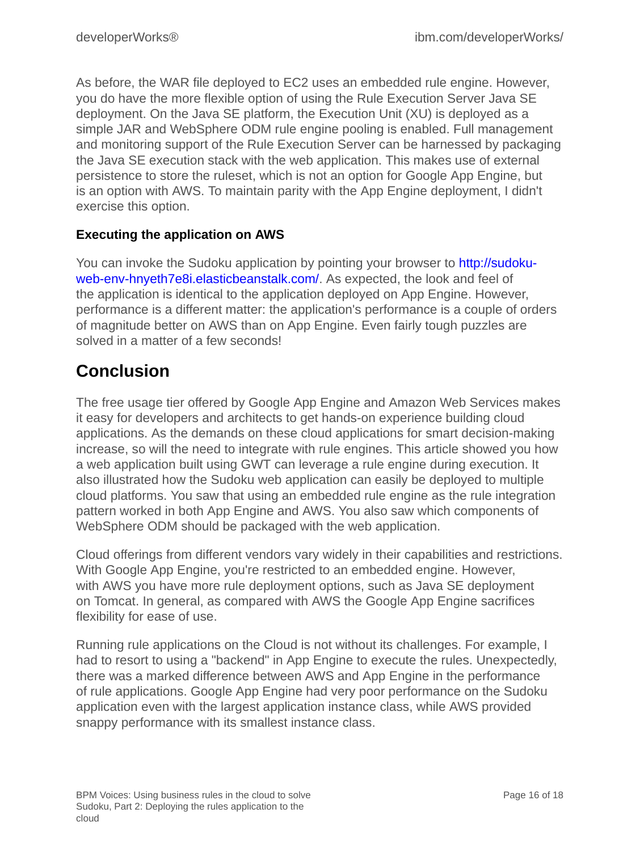As before, the WAR file deployed to EC2 uses an embedded rule engine. However, you do have the more flexible option of using the Rule Execution Server Java SE deployment. On the Java SE platform, the Execution Unit (XU) is deployed as a simple JAR and WebSphere ODM rule engine pooling is enabled. Full management and monitoring support of the Rule Execution Server can be harnessed by packaging the Java SE execution stack with the web application. This makes use of external persistence to store the ruleset, which is not an option for Google App Engine, but is an option with AWS. To maintain parity with the App Engine deployment, I didn't exercise this option.

#### **Executing the application on AWS**

You can invoke the Sudoku application by pointing your browser to [http://sudoku](http://sudoku-web-env-hnyeth7e8i.elasticbeanstalk.com/)[web-env-hnyeth7e8i.elasticbeanstalk.com/.](http://sudoku-web-env-hnyeth7e8i.elasticbeanstalk.com/) As expected, the look and feel of the application is identical to the application deployed on App Engine. However, performance is a different matter: the application's performance is a couple of orders of magnitude better on AWS than on App Engine. Even fairly tough puzzles are solved in a matter of a few seconds!

### **Conclusion**

The free usage tier offered by Google App Engine and Amazon Web Services makes it easy for developers and architects to get hands-on experience building cloud applications. As the demands on these cloud applications for smart decision-making increase, so will the need to integrate with rule engines. This article showed you how a web application built using GWT can leverage a rule engine during execution. It also illustrated how the Sudoku web application can easily be deployed to multiple cloud platforms. You saw that using an embedded rule engine as the rule integration pattern worked in both App Engine and AWS. You also saw which components of WebSphere ODM should be packaged with the web application.

Cloud offerings from different vendors vary widely in their capabilities and restrictions. With Google App Engine, you're restricted to an embedded engine. However, with AWS you have more rule deployment options, such as Java SE deployment on Tomcat. In general, as compared with AWS the Google App Engine sacrifices flexibility for ease of use.

Running rule applications on the Cloud is not without its challenges. For example, I had to resort to using a "backend" in App Engine to execute the rules. Unexpectedly, there was a marked difference between AWS and App Engine in the performance of rule applications. Google App Engine had very poor performance on the Sudoku application even with the largest application instance class, while AWS provided snappy performance with its smallest instance class.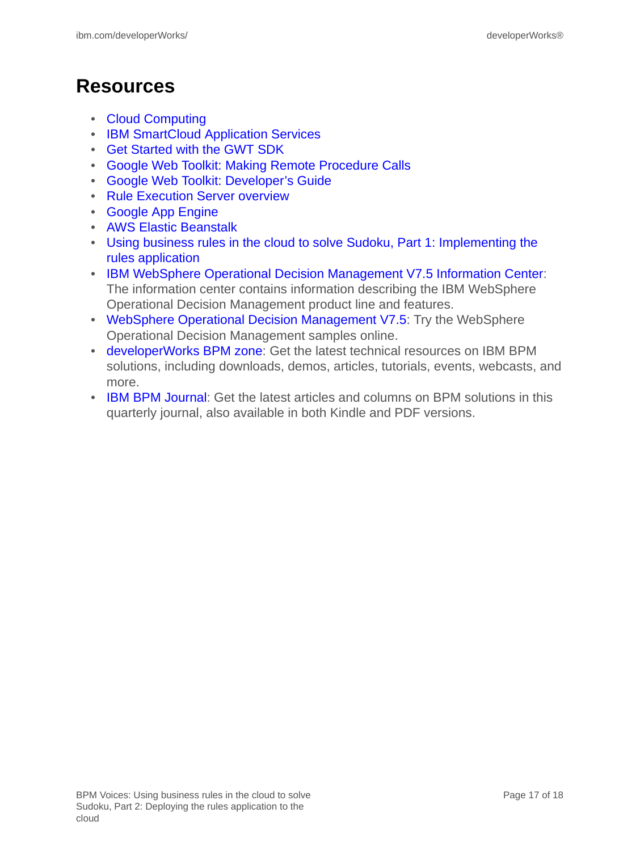# **Resources**

- [Cloud Computing](http://en.wikipedia.org/wiki/Cloud_computing)
- [IBM SmartCloud Application Services](http://www.ibm.com/cloud-computing/us/en/paas.html)
- [Get Started with the GWT SDK](https://developers.google.com/web-toolkit/gettingstarted)
- [Google Web Toolkit: Making Remote Procedure Calls](https://developers.google.com/web-toolkit/doc/latest/tutorial/RPC)
- [Google Web Toolkit: Developer's Guide](https://developers.google.com/web-toolkit/doc/2.4/DevGuide)
- [Rule Execution Server overview](http://pic.dhe.ibm.com/infocenter/dmanager/v7r5/topic/com.ibm.dserver.res/Content/Business_Rules/_pubskel/Infocenter_Primary/ps_DS_Rule_Execution_Server1440.html)
- [Google App Engine](https://developers.google.com/appengine/)
- [AWS Elastic Beanstalk](http://docs.amazonwebservices.com/elasticbeanstalk/latest/dg/Welcome.html)
- [Using business rules in the cloud to solve Sudoku, Part 1: Implementing the](http://www.ibm.com/developerworks/bpm/bpmjournal/1206_col_rao/1206_col_rao.html) [rules application](http://www.ibm.com/developerworks/bpm/bpmjournal/1206_col_rao/1206_col_rao.html)
- [IBM WebSphere Operational Decision Management V7.5 Information Center:](http://publib.boulder.ibm.com/infocenter/dmanager/v7r5/index.jsp) The information center contains information describing the IBM WebSphere Operational Decision Management product line and features.
- [WebSphere Operational Decision Management V7.5](http://www.ibm.com/developerworks/downloads/soasandbox/wodm.html?re=WODM_OV): Try the WebSphere Operational Decision Management samples online.
- [developerWorks BPM zone](http://www.ibm.com/developerworks/bpm/bpmjournal/): Get the latest technical resources on IBM BPM solutions, including downloads, demos, articles, tutorials, events, webcasts, and more.
- [IBM BPM Journal](http://www.ibm.com/developerworks/bpm/): Get the latest articles and columns on BPM solutions in this quarterly journal, also available in both Kindle and PDF versions.